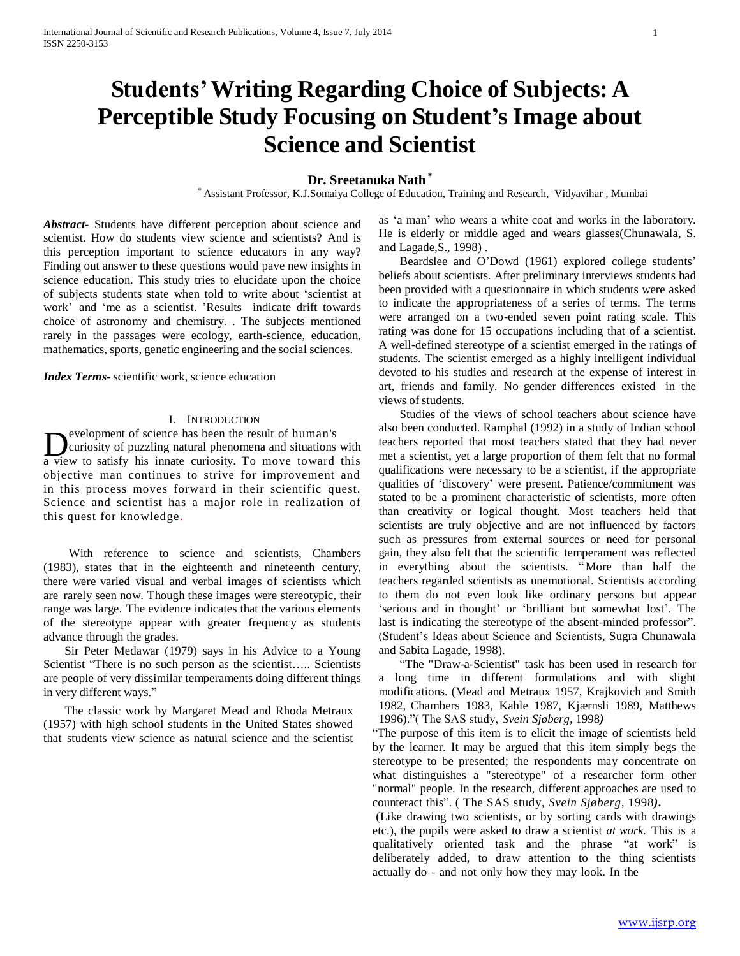# **Students'Writing Regarding Choice of Subjects: A Perceptible Study Focusing on Student's Image about Science and Scientist**

# **Dr. Sreetanuka Nath \***

\* Assistant Professor, K.J.Somaiya College of Education, Training and Research, Vidyavihar , Mumbai

*Abstract***-** Students have different perception about science and scientist. How do students view science and scientists? And is this perception important to science educators in any way? Finding out answer to these questions would pave new insights in science education. This study tries to elucidate upon the choice of subjects students state when told to write about 'scientist at work' and 'me as a scientist. 'Results indicate drift towards choice of astronomy and chemistry. . The subjects mentioned rarely in the passages were ecology, earth-science, education, mathematics, sports, genetic engineering and the social sciences.

*Index Terms*- scientific work, science education

## I. INTRODUCTION

**D** evelopment of science has been the result of human's<br>a view to satisfy his innate curiosity. To move toward this evelopment of science has been the result of human's curiosity of puzzling natural phenomena and situations with objective man continues to strive for improvement and in this process moves forward in their scientific quest. Science and scientist has a major role in realization of this quest for knowledge.

With reference to science and scientists, Chambers (1983), states that in the eighteenth and nineteenth century, there were varied visual and verbal images of scientists which are rarely seen now. Though these images were stereotypic, their range was large. The evidence indicates that the various elements of the stereotype appear with greater frequency as students advance through the grades.

Sir Peter Medawar (1979) says in his Advice to a Young Scientist "There is no such person as the scientist..... Scientists are people of very dissimilar temperaments doing different things in very different ways."

The classic work by Margaret Mead and Rhoda Metraux (1957) with high school students in the United States showed that students view science as natural science and the scientist as 'a man' who wears a white coat and works in the laboratory. He is elderly or middle aged and wears glasses(Chunawala, S. and Lagade,S., 1998) .

Beardslee and O'Dowd (1961) explored college students' beliefs about scientists. After preliminary interviews students had been provided with a questionnaire in which students were asked to indicate the appropriateness of a series of terms. The terms were arranged on a two-ended seven point rating scale. This rating was done for 15 occupations including that of a scientist. A well-defined stereotype of a scientist emerged in the ratings of students. The scientist emerged as a highly intelligent individual devoted to his studies and research at the expense of interest in art, friends and family. No gender differences existed in the views of students.

Studies of the views of school teachers about science have also been conducted. Ramphal (1992) in a study of Indian school teachers reported that most teachers stated that they had never met a scientist, yet a large proportion of them felt that no formal qualifications were necessary to be a scientist, if the appropriate qualities of 'discovery' were present. Patience/commitment was stated to be a prominent characteristic of scientists, more often than creativity or logical thought. Most teachers held that scientists are truly objective and are not influenced by factors such as pressures from external sources or need for personal gain, they also felt that the scientific temperament was reflected in everything about the scientists. "More than half the teachers regarded scientists as unemotional. Scientists according to them do not even look like ordinary persons but appear 'serious and in thought' or 'brilliant but somewhat lost'. The last is indicating the stereotype of the absent-minded professor". (Student's Ideas about Science and Scientists, Sugra Chunawala and Sabita Lagade, 1998).

"The "Draw-a-Scientist" task has been used in research for a long time in different formulations and with slight modifications. (Mead and Metraux 1957, Krajkovich and Smith 1982, Chambers 1983, Kahle 1987, Kjærnsli 1989, Matthews 1996)."( The SAS study, *Svein Sjøberg,* 1998*)*

"The purpose of this item is to elicit the image of scientists held by the learner. It may be argued that this item simply begs the stereotype to be presented; the respondents may concentrate on what distinguishes a "stereotype" of a researcher form other "normal" people. In the research, different approaches are used to counteract this". ( The SAS study, *Svein Sjøberg,* 1998*).*

(Like drawing two scientists, or by sorting cards with drawings etc.), the pupils were asked to draw a scientist *at work*. This is a qualitatively oriented task and the phrase "at work" is deliberately added, to draw attention to the thing scientists actually do - and not only how they may look. In the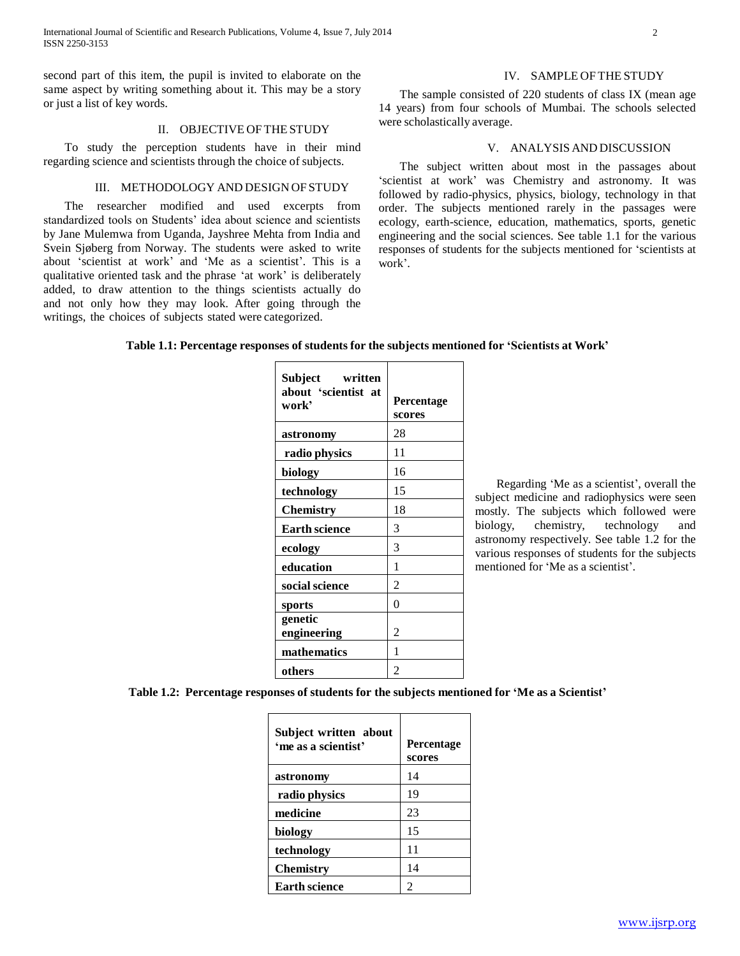second part of this item, the pupil is invited to elaborate on the same aspect by writing something about it. This may be a story or just a list of key words.

#### II. OBJECTIVE OF THE STUDY

To study the perception students have in their mind regarding science and scientists through the choice of subjects.

## III. METHODOLOGY AND DESIGN OF STUDY

The researcher modified and used excerpts from standardized tools on Students' idea about science and scientists by Jane Mulemwa from Uganda, Jayshree Mehta from India and Svein Sjøberg from Norway. The students were asked to write about 'scientist at work' and 'Me as a scientist'. This is a qualitative oriented task and the phrase 'at work' is deliberately added, to draw attention to the things scientists actually do and not only how they may look. After going through the writings, the choices of subjects stated were categorized.

The sample consisted of 220 students of class IX (mean age 14 years) from four schools of Mumbai. The schools selected were scholastically average.

## V. ANALYSIS AND DISCUSSION

The subject written about most in the passages about 'scientist at work' was Chemistry and astronomy. It was followed by radio-physics, physics, biology, technology in that order. The subjects mentioned rarely in the passages were ecology, earth-science, education, mathematics, sports, genetic engineering and the social sciences. See table 1.1 for the various responses of students for the subjects mentioned for 'scientists at work'.

# **Table 1.1: Percentage responses of students for the subjects mentioned for 'Scientists at Work'**

| Subject<br>written<br>about 'scientist at<br>work' | Percentage<br>scores |
|----------------------------------------------------|----------------------|
| astronomy                                          | 28                   |
| radio physics                                      | 11                   |
| biology                                            | 16                   |
| technology                                         | 15                   |
| <b>Chemistry</b>                                   | 18                   |
| <b>Earth science</b>                               | 3                    |
| ecology                                            | 3                    |
| education                                          | 1                    |
| social science                                     | $\overline{2}$       |
| sports                                             | $\theta$             |
| genetic<br>engineering                             | 2                    |
| mathematics                                        | 1                    |
| others                                             | $\overline{2}$       |

Regarding 'Me as a scientist', overall the subject medicine and radiophysics were seen mostly. The subjects which followed were biology, chemistry, technology and astronomy respectively. See table 1.2 for the various responses of students for the subjects mentioned for 'Me as a scientist'.

**Table 1.2: Percentage responses of students for the subjects mentioned for 'Me as a Scientist'**

| Subject written about<br>'me as a scientist' | <b>Percentage</b><br>scores |
|----------------------------------------------|-----------------------------|
| astronomy                                    | 14                          |
| radio physics                                | 19                          |
| medicine                                     | 23                          |
| biology                                      | 15                          |
| technology                                   | 11                          |
| <b>Chemistry</b>                             | 14                          |
| <b>Earth science</b>                         | 2                           |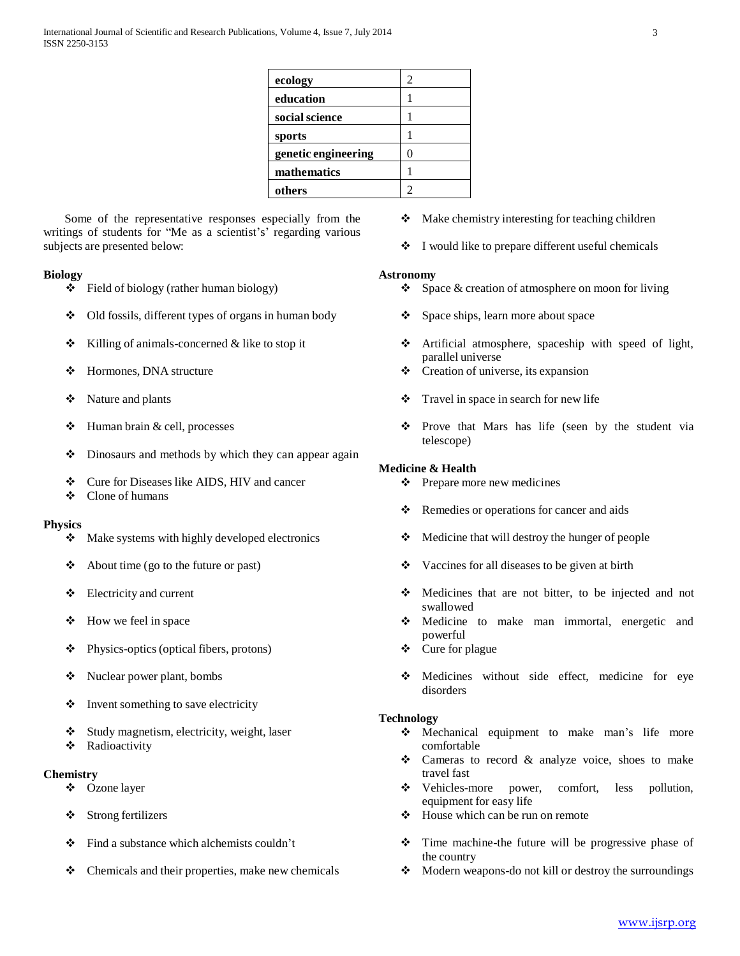| ecology             | 2      |
|---------------------|--------|
| education           |        |
| social science      |        |
| sports              |        |
| genetic engineering | $\cup$ |
| mathematics         |        |
| others              |        |
|                     |        |

Some of the representative responses especially from the writings of students for "Me as a scientist's' regarding various subjects are presented below:

# **Biology**

- Field of biology (rather human biology)
- $\triangleleft$  Old fossils, different types of organs in human body
- $\triangle$  Killing of animals-concerned & like to stop it
- Hormones, DNA structure
- ❖ Nature and plants
- $\triangleleft$  Human brain & cell, processes
- $\triangle$  Dinosaurs and methods by which they can appear again
- Cure for Diseases like AIDS, HIV and cancer
- ❖ Clone of humans

## **Physics**

- $\triangleleft$  Make systems with highly developed electronics
- $\triangleleft$  About time (go to the future or past)
- $\triangle$  Electricity and current
- $\div$  How we feel in space
- $\triangleleft$  Physics-optics (optical fibers, protons)
- Nuclear power plant, bombs
- $\bullet$  Invent something to save electricity
- $\triangleleft$  Study magnetism, electricity, weight, laser
- **\*** Radioactivity

# **Chemistry**

- Ozone layer
- Strong fertilizers
- $\div$  Find a substance which alchemists couldn't
- $\triangle$  Chemicals and their properties, make new chemicals
- ◆ Make chemistry interesting for teaching children
- $\bullet$  I would like to prepare different useful chemicals

#### **Astronomy**

- $\bullet$  Space & creation of atmosphere on moon for living
- $\div$  Space ships, learn more about space
- Artificial atmosphere, spaceship with speed of light, parallel universe
- $\triangleleft$  Creation of universe, its expansion
- Travel in space in search for new life
- Prove that Mars has life (seen by the student via telescope)

## **Medicine & Health**

- $\triangle$  Prepare more new medicines
- Remedies or operations for cancer and aids
- Medicine that will destroy the hunger of people
- $\triangle$  Vaccines for all diseases to be given at birth
- Medicines that are not bitter, to be injected and not swallowed
- Medicine to make man immortal, energetic and powerful
- ❖ Cure for plague
- Medicines without side effect, medicine for eye disorders

## **Technology**

- Mechanical equipment to make man's life more comfortable
- $\triangle$  Cameras to record & analyze voice, shoes to make travel fast
- Vehicles-more power, comfort, less pollution, equipment for easy life
- House which can be run on remote
- Time machine-the future will be progressive phase of the country
- Modern weapons-do not kill or destroy the surroundings